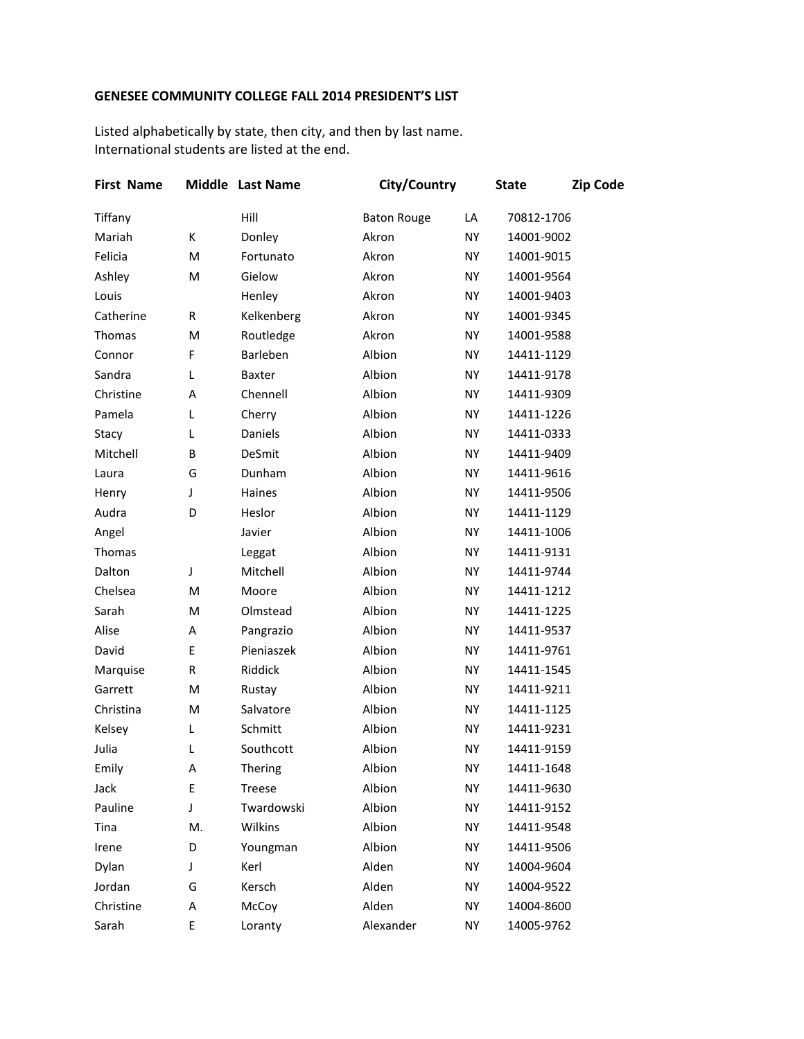## **GENESEE COMMUNITY COLLEGE FALL 2014 PRESIDENT'S LIST**

Listed alphabetically by state, then city, and then by last name. International students are listed at the end.

| <b>First Name</b> |    | Middle Last Name | City/Country       |           | <b>State</b> | <b>Zip Code</b> |  |
|-------------------|----|------------------|--------------------|-----------|--------------|-----------------|--|
| Tiffany           |    | Hill             | <b>Baton Rouge</b> | LA        | 70812-1706   |                 |  |
| Mariah            | К  | Donley           | Akron              | <b>NY</b> | 14001-9002   |                 |  |
| Felicia           | M  | Fortunato        | Akron              | <b>NY</b> | 14001-9015   |                 |  |
| Ashley            | M  | Gielow           | Akron              | NY        | 14001-9564   |                 |  |
| Louis             |    | Henley           | Akron              | NY        | 14001-9403   |                 |  |
| Catherine         | R  | Kelkenberg       | Akron              | NY        | 14001-9345   |                 |  |
| Thomas            | M  | Routledge        | Akron              | <b>NY</b> | 14001-9588   |                 |  |
| Connor            | F  | Barleben         | Albion             | NY        | 14411-1129   |                 |  |
| Sandra            | Г  | Baxter           | Albion             | NY        | 14411-9178   |                 |  |
| Christine         | Α  | Chennell         | Albion             | NY        | 14411-9309   |                 |  |
| Pamela            | Г  | Cherry           | Albion             | <b>NY</b> | 14411-1226   |                 |  |
| Stacy             | L  | Daniels          | Albion             | NY        | 14411-0333   |                 |  |
| Mitchell          | B  | DeSmit           | Albion             | NY        | 14411-9409   |                 |  |
| Laura             | G  | Dunham           | Albion             | NY        | 14411-9616   |                 |  |
| Henry             | J  | Haines           | Albion             | <b>NY</b> | 14411-9506   |                 |  |
| Audra             | D  | Heslor           | Albion             | NY        | 14411-1129   |                 |  |
| Angel             |    | Javier           | Albion             | NY        | 14411-1006   |                 |  |
| Thomas            |    | Leggat           | Albion             | NY        | 14411-9131   |                 |  |
| Dalton            | J  | Mitchell         | Albion             | <b>NY</b> | 14411-9744   |                 |  |
| Chelsea           | M  | Moore            | Albion             | NY        | 14411-1212   |                 |  |
| Sarah             | M  | Olmstead         | Albion             | NY        | 14411-1225   |                 |  |
| Alise             | Α  | Pangrazio        | Albion             | NY        | 14411-9537   |                 |  |
| David             | E  | Pieniaszek       | Albion             | <b>NY</b> | 14411-9761   |                 |  |
| Marquise          | R  | Riddick          | Albion             | NY        | 14411-1545   |                 |  |
| Garrett           | M  | Rustay           | Albion             | <b>NY</b> | 14411-9211   |                 |  |
| Christina         | M  | Salvatore        | Albion             | NY        | 14411-1125   |                 |  |
| Kelsey            | L  | Schmitt          | Albion             | <b>NY</b> | 14411-9231   |                 |  |
| Julia             | L  | Southcott        | Albion             | NY        | 14411-9159   |                 |  |
| Emily             | Α  | Thering          | Albion             | NY        | 14411-1648   |                 |  |
| Jack              | E  | <b>Treese</b>    | Albion             | NY        | 14411-9630   |                 |  |
| Pauline           | J  | Twardowski       | Albion             | NY        | 14411-9152   |                 |  |
| Tina              | M. | Wilkins          | Albion             | NY        | 14411-9548   |                 |  |
| Irene             | D  | Youngman         | Albion             | NY        | 14411-9506   |                 |  |
| Dylan             | J  | Kerl             | Alden              | NY        | 14004-9604   |                 |  |
| Jordan            | G  | Kersch           | Alden              | NY        | 14004-9522   |                 |  |
| Christine         | Α  | McCoy            | Alden              | NY        | 14004-8600   |                 |  |
| Sarah             | E  | Loranty          | Alexander          | NY        | 14005-9762   |                 |  |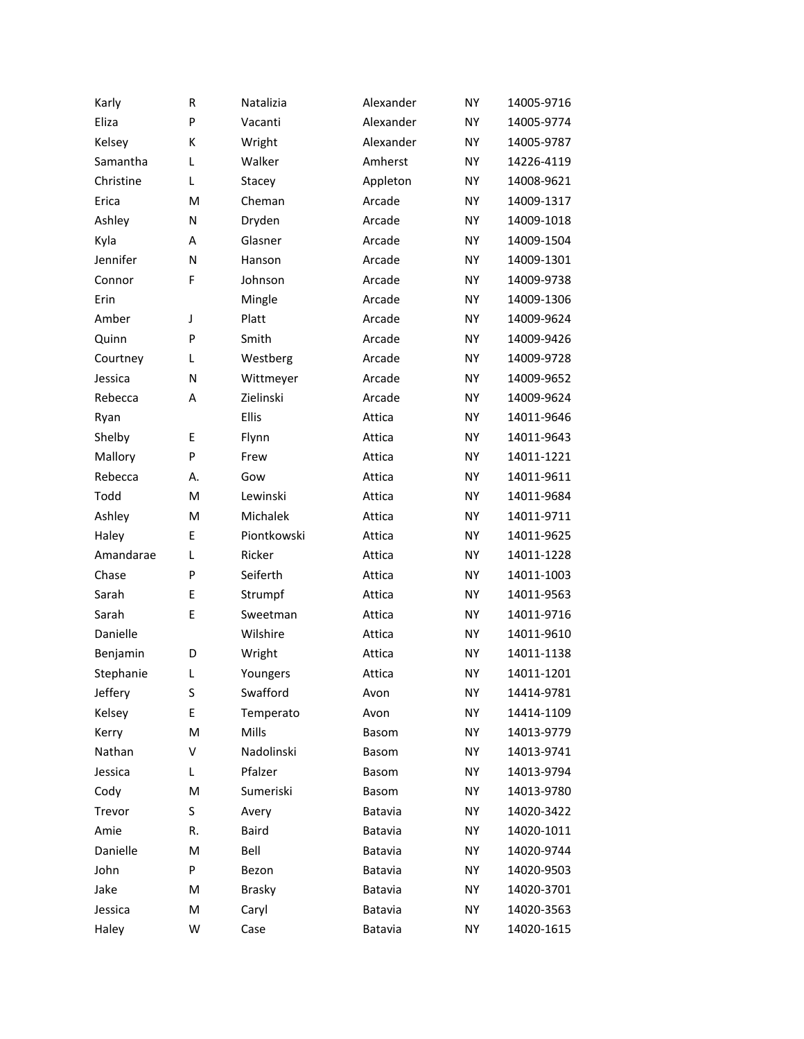| Karly     | R  | Natalizia     | Alexander | <b>NY</b> | 14005-9716 |
|-----------|----|---------------|-----------|-----------|------------|
| Eliza     | P  | Vacanti       | Alexander | <b>NY</b> | 14005-9774 |
| Kelsey    | К  | Wright        | Alexander | NY        | 14005-9787 |
| Samantha  | L  | Walker        | Amherst   | <b>NY</b> | 14226-4119 |
| Christine | L  | Stacey        | Appleton  | NY        | 14008-9621 |
| Erica     | M  | Cheman        | Arcade    | <b>NY</b> | 14009-1317 |
| Ashley    | N  | Dryden        | Arcade    | NY        | 14009-1018 |
| Kyla      | A  | Glasner       | Arcade    | <b>NY</b> | 14009-1504 |
| Jennifer  | N  | Hanson        | Arcade    | NY        | 14009-1301 |
| Connor    | F  | Johnson       | Arcade    | <b>NY</b> | 14009-9738 |
| Erin      |    | Mingle        | Arcade    | NY        | 14009-1306 |
| Amber     | J  | Platt         | Arcade    | <b>NY</b> | 14009-9624 |
| Quinn     | P  | Smith         | Arcade    | NY        | 14009-9426 |
| Courtney  | L  | Westberg      | Arcade    | <b>NY</b> | 14009-9728 |
| Jessica   | N  | Wittmeyer     | Arcade    | NY        | 14009-9652 |
| Rebecca   | A  | Zielinski     | Arcade    | <b>NY</b> | 14009-9624 |
| Ryan      |    | Ellis         | Attica    | NY        | 14011-9646 |
| Shelby    | E  | Flynn         | Attica    | <b>NY</b> | 14011-9643 |
| Mallory   | P  | Frew          | Attica    | NY        | 14011-1221 |
| Rebecca   | А. | Gow           | Attica    | <b>NY</b> | 14011-9611 |
| Todd      | M  | Lewinski      | Attica    | NY        | 14011-9684 |
| Ashley    | M  | Michalek      | Attica    | <b>NY</b> | 14011-9711 |
| Haley     | E  | Piontkowski   | Attica    | NY        | 14011-9625 |
| Amandarae | L  | Ricker        | Attica    | <b>NY</b> | 14011-1228 |
| Chase     | P  | Seiferth      | Attica    | NY        | 14011-1003 |
| Sarah     | E  | Strumpf       | Attica    | NY        | 14011-9563 |
| Sarah     | E  | Sweetman      | Attica    | NY        | 14011-9716 |
| Danielle  |    | Wilshire      | Attica    | NY        | 14011-9610 |
| Benjamin  | D  | Wright        | Attica    | <b>NY</b> | 14011-1138 |
| Stephanie | Г  | Youngers      | Attica    | <b>NY</b> | 14011-1201 |
| Jeffery   | S  | Swafford      | Avon      | ΝY        | 14414-9781 |
| Kelsey    | E  | Temperato     | Avon      | NY        | 14414-1109 |
| Kerry     | M  | Mills         | Basom     | ΝY        | 14013-9779 |
| Nathan    | V  | Nadolinski    | Basom     | NY        | 14013-9741 |
| Jessica   | L  | Pfalzer       | Basom     | NY.       | 14013-9794 |
| Cody      | M  | Sumeriski     | Basom     | NY        | 14013-9780 |
| Trevor    | S  | Avery         | Batavia   | NY.       | 14020-3422 |
| Amie      | R. | Baird         | Batavia   | NY        | 14020-1011 |
| Danielle  | M  | Bell          | Batavia   | NY.       | 14020-9744 |
| John      | P  | Bezon         | Batavia   | NY.       | 14020-9503 |
| Jake      | M  | <b>Brasky</b> | Batavia   | ΝY        | 14020-3701 |
| Jessica   | M  | Caryl         | Batavia   | NY        | 14020-3563 |
| Haley     | W  | Case          | Batavia   | ΝY        | 14020-1615 |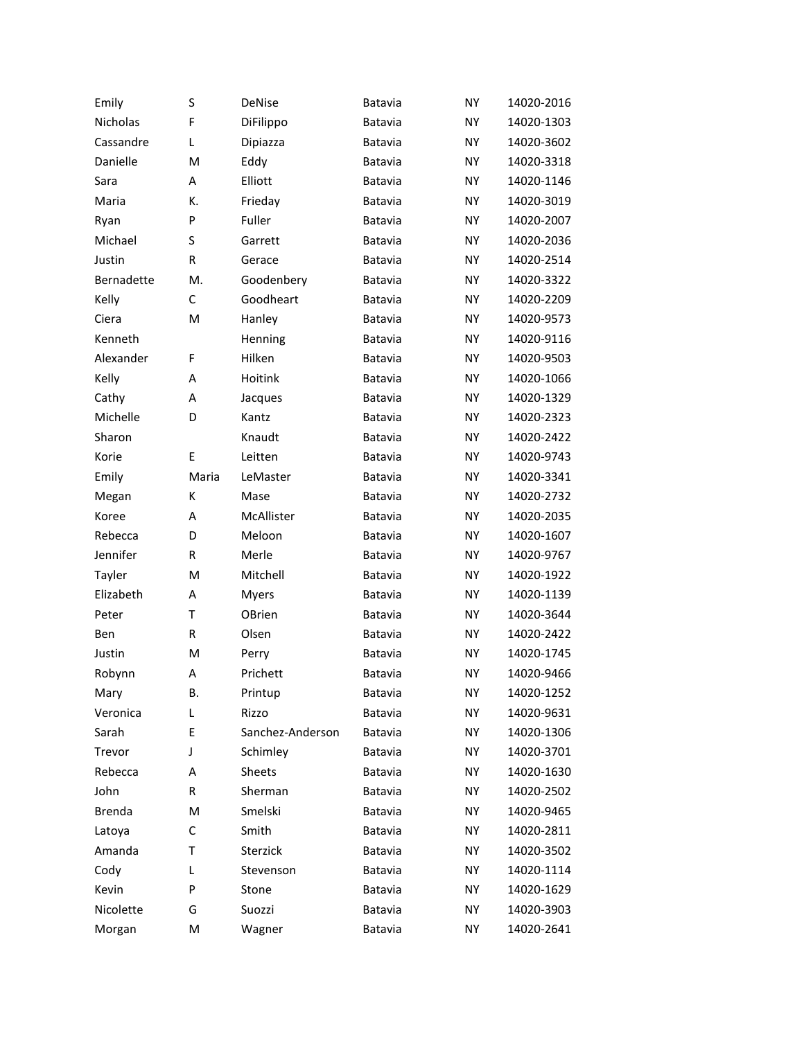| Emily         | S     | <b>DeNise</b>    | Batavia | <b>NY</b> | 14020-2016 |
|---------------|-------|------------------|---------|-----------|------------|
| Nicholas      | F     | DiFilippo        | Batavia | <b>NY</b> | 14020-1303 |
| Cassandre     | Г     | Dipiazza         | Batavia | <b>NY</b> | 14020-3602 |
| Danielle      | M     | Eddy             | Batavia | <b>NY</b> | 14020-3318 |
| Sara          | A     | Elliott          | Batavia | <b>NY</b> | 14020-1146 |
| Maria         | К.    | Frieday          | Batavia | <b>NY</b> | 14020-3019 |
| Ryan          | P     | Fuller           | Batavia | <b>NY</b> | 14020-2007 |
| Michael       | S     | Garrett          | Batavia | <b>NY</b> | 14020-2036 |
| Justin        | R     | Gerace           | Batavia | <b>NY</b> | 14020-2514 |
| Bernadette    | M.    | Goodenbery       | Batavia | <b>NY</b> | 14020-3322 |
| Kelly         | C     | Goodheart        | Batavia | <b>NY</b> | 14020-2209 |
| Ciera         | M     | Hanley           | Batavia | <b>NY</b> | 14020-9573 |
| Kenneth       |       | Henning          | Batavia | <b>NY</b> | 14020-9116 |
| Alexander     | F     | Hilken           | Batavia | <b>NY</b> | 14020-9503 |
| Kelly         | A     | Hoitink          | Batavia | <b>NY</b> | 14020-1066 |
| Cathy         | A     | Jacques          | Batavia | <b>NY</b> | 14020-1329 |
| Michelle      | D     | Kantz            | Batavia | <b>NY</b> | 14020-2323 |
| Sharon        |       | Knaudt           | Batavia | <b>NY</b> | 14020-2422 |
| Korie         | E     | Leitten          | Batavia | <b>NY</b> | 14020-9743 |
| Emily         | Maria | LeMaster         | Batavia | <b>NY</b> | 14020-3341 |
| Megan         | K     | Mase             | Batavia | <b>NY</b> | 14020-2732 |
| Koree         | A     | McAllister       | Batavia | <b>NY</b> | 14020-2035 |
| Rebecca       | D     | Meloon           | Batavia | <b>NY</b> | 14020-1607 |
| Jennifer      | R     | Merle            | Batavia | <b>NY</b> | 14020-9767 |
| Tayler        | M     | Mitchell         | Batavia | <b>NY</b> | 14020-1922 |
| Elizabeth     | A     | <b>Myers</b>     | Batavia | <b>NY</b> | 14020-1139 |
| Peter         | T     | OBrien           | Batavia | <b>NY</b> | 14020-3644 |
| Ben           | R     | Olsen            | Batavia | <b>NY</b> | 14020-2422 |
| Justin        | M     | Perry            | Batavia | <b>NY</b> | 14020-1745 |
| Robynn        | A     | Prichett         | Batavia | <b>NY</b> | 14020-9466 |
| Mary          | В.    | Printup          | Batavia | <b>NY</b> | 14020-1252 |
| Veronica      | L     | Rizzo            | Batavia | NY        | 14020-9631 |
| Sarah         | E     | Sanchez-Anderson | Batavia | NY.       | 14020-1306 |
| Trevor        | J     | Schimley         | Batavia | NY.       | 14020-3701 |
| Rebecca       | A     | Sheets           | Batavia | NY.       | 14020-1630 |
| John          | R     | Sherman          | Batavia | NY.       | 14020-2502 |
| <b>Brenda</b> | м     | Smelski          | Batavia | NY.       | 14020-9465 |
| Latoya        | С     | Smith            | Batavia | NY.       | 14020-2811 |
| Amanda        | т     | Sterzick         | Batavia | NY.       | 14020-3502 |
| Cody          | L     | Stevenson        | Batavia | NY.       | 14020-1114 |
| Kevin         | P     | Stone            | Batavia | NY.       | 14020-1629 |
| Nicolette     | G     | Suozzi           | Batavia | NY.       | 14020-3903 |
| Morgan        | M     | Wagner           | Batavia | ΝY        | 14020-2641 |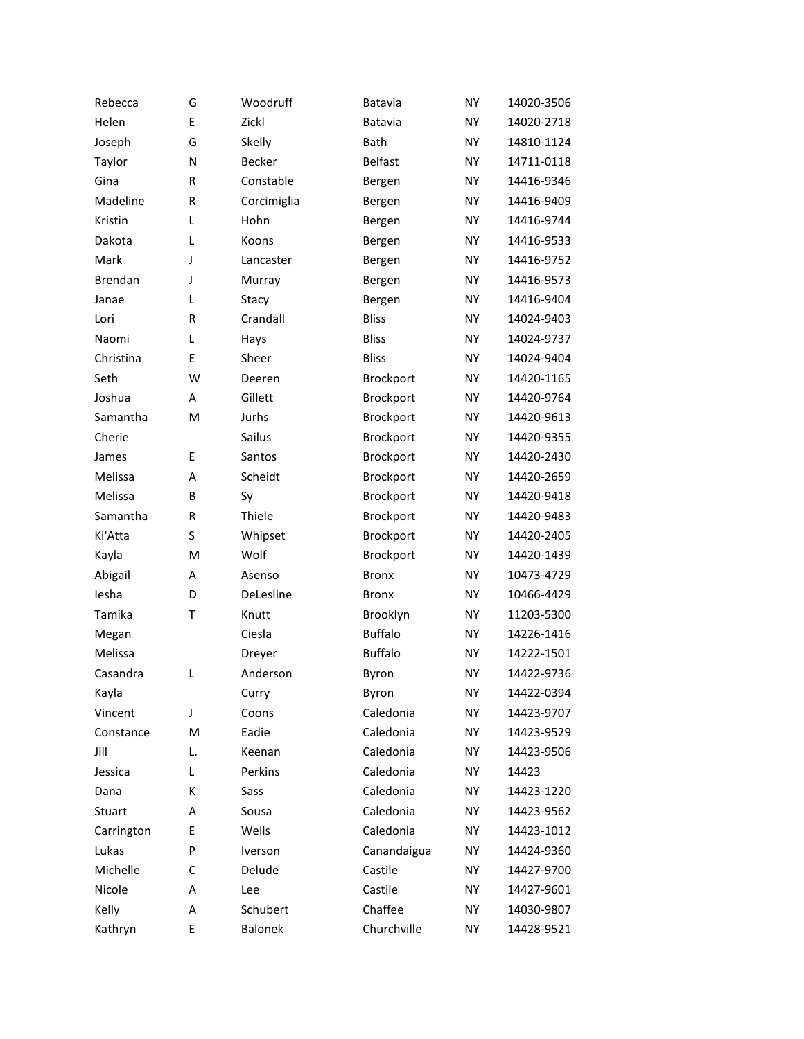| Rebecca    | G            | Woodruff       | Batavia        | <b>NY</b> | 14020-3506 |
|------------|--------------|----------------|----------------|-----------|------------|
| Helen      | E            | Zickl          | Batavia        | <b>NY</b> | 14020-2718 |
| Joseph     | G            | Skelly         | Bath           | <b>NY</b> | 14810-1124 |
| Taylor     | N            | Becker         | <b>Belfast</b> | <b>NY</b> | 14711-0118 |
| Gina       | R            | Constable      | Bergen         | NY        | 14416-9346 |
| Madeline   | R            | Corcimiglia    | Bergen         | <b>NY</b> | 14416-9409 |
| Kristin    | L            | Hohn           | Bergen         | NY.       | 14416-9744 |
| Dakota     | L            | Koons          | Bergen         | NY        | 14416-9533 |
| Mark       | J            | Lancaster      | Bergen         | NY        | 14416-9752 |
| Brendan    | J            | Murray         | Bergen         | <b>NY</b> | 14416-9573 |
| Janae      | L            | Stacy          | Bergen         | NY.       | 14416-9404 |
| Lori       | $\mathsf{R}$ | Crandall       | <b>Bliss</b>   | <b>NY</b> | 14024-9403 |
| Naomi      | L            | Hays           | <b>Bliss</b>   | NY        | 14024-9737 |
| Christina  | E            | Sheer          | <b>Bliss</b>   | <b>NY</b> | 14024-9404 |
| Seth       | W            | Deeren         | Brockport      | NY.       | 14420-1165 |
| Joshua     | A            | Gillett        | Brockport      | NY        | 14420-9764 |
| Samantha   | M            | Jurhs          | Brockport      | NY        | 14420-9613 |
| Cherie     |              | Sailus         | Brockport      | <b>NY</b> | 14420-9355 |
| James      | E            | Santos         | Brockport      | NY.       | 14420-2430 |
| Melissa    | A            | Scheidt        | Brockport      | NY        | 14420-2659 |
| Melissa    | B            | Sy             | Brockport      | NY        | 14420-9418 |
| Samantha   | R            | Thiele         | Brockport      | NY        | 14420-9483 |
| Ki'Atta    | S            | Whipset        | Brockport      | NY.       | 14420-2405 |
| Kayla      | M            | Wolf           | Brockport      | NY        | 14420-1439 |
| Abigail    | А            | Asenso         | <b>Bronx</b>   | NY        | 10473-4729 |
| lesha      | D            | DeLesline      | <b>Bronx</b>   | <b>NY</b> | 10466-4429 |
| Tamika     | T            | Knutt          | Brooklyn       | NY.       | 11203-5300 |
| Megan      |              | Ciesla         | <b>Buffalo</b> | NY        | 14226-1416 |
| Melissa    |              | Dreyer         | <b>Buffalo</b> | <b>NY</b> | 14222-1501 |
| Casandra   | L            | Anderson       | Byron          | <b>NY</b> | 14422-9736 |
| Kayla      |              | Curry          | Byron          | NY        | 14422-0394 |
| Vincent    | J            | Coons          | Caledonia      | NY        | 14423-9707 |
| Constance  | M            | Eadie          | Caledonia      | NY.       | 14423-9529 |
| Jill       | L.           | Keenan         | Caledonia      | NY        | 14423-9506 |
| Jessica    | L            | Perkins        | Caledonia      | NY        | 14423      |
| Dana       | K            | Sass           | Caledonia      | NY        | 14423-1220 |
| Stuart     | А            | Sousa          | Caledonia      | ΝY        | 14423-9562 |
| Carrington | E            | Wells          | Caledonia      | NY        | 14423-1012 |
| Lukas      | P            | Iverson        | Canandaigua    | ΝY        | 14424-9360 |
| Michelle   | С            | Delude         | Castile        | NY        | 14427-9700 |
| Nicole     | А            | Lee            | Castile        | ΝY        | 14427-9601 |
| Kelly      | Α            | Schubert       | Chaffee        | NY        | 14030-9807 |
| Kathryn    | Ε            | <b>Balonek</b> | Churchville    | ΝY        | 14428-9521 |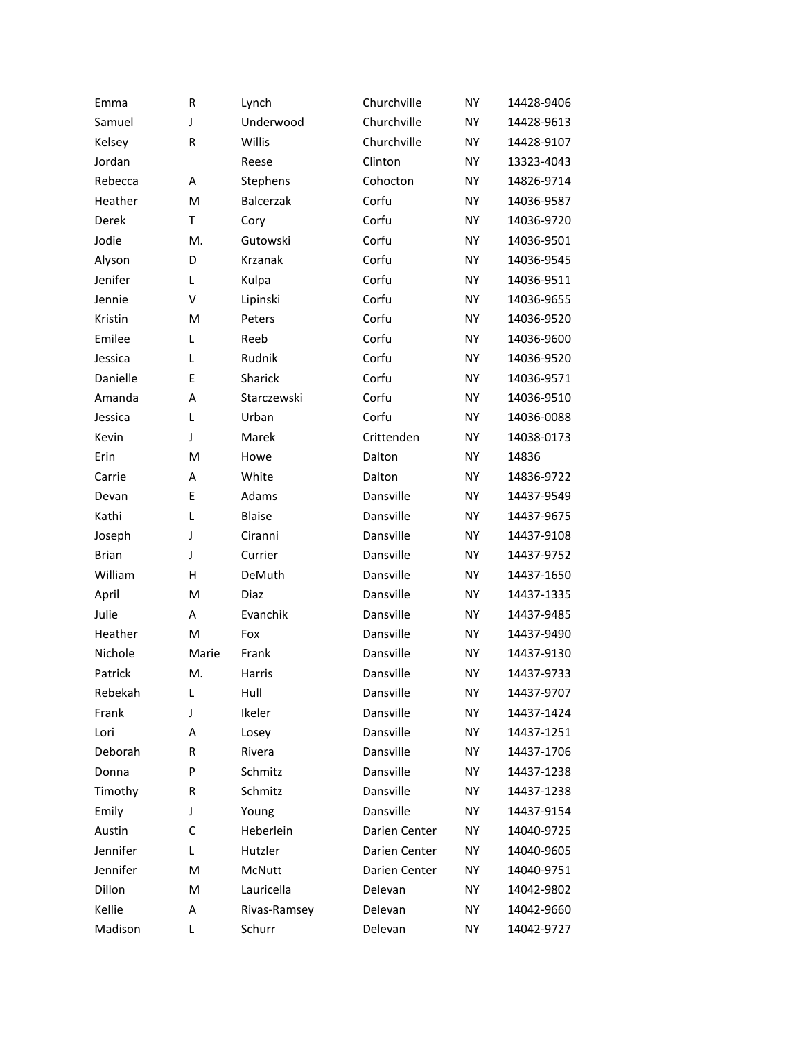| Emma         | R     | Lynch         | Churchville   | NY        | 14428-9406 |
|--------------|-------|---------------|---------------|-----------|------------|
| Samuel       | J     | Underwood     | Churchville   | <b>NY</b> | 14428-9613 |
| Kelsey       | R     | Willis        | Churchville   | NY        | 14428-9107 |
| Jordan       |       | Reese         | Clinton       | <b>NY</b> | 13323-4043 |
| Rebecca      | Α     | Stephens      | Cohocton      | NY        | 14826-9714 |
| Heather      | M     | Balcerzak     | Corfu         | <b>NY</b> | 14036-9587 |
| Derek        | T     | Cory          | Corfu         | NY        | 14036-9720 |
| Jodie        | M.    | Gutowski      | Corfu         | <b>NY</b> | 14036-9501 |
| Alyson       | D     | Krzanak       | Corfu         | NY        | 14036-9545 |
| Jenifer      | L     | Kulpa         | Corfu         | NY        | 14036-9511 |
| Jennie       | V     | Lipinski      | Corfu         | NY        | 14036-9655 |
| Kristin      | M     | Peters        | Corfu         | <b>NY</b> | 14036-9520 |
| Emilee       | Г     | Reeb          | Corfu         | NY        | 14036-9600 |
| Jessica      | L     | Rudnik        | Corfu         | NY        | 14036-9520 |
| Danielle     | E     | Sharick       | Corfu         | NY        | 14036-9571 |
| Amanda       | A     | Starczewski   | Corfu         | <b>NY</b> | 14036-9510 |
| Jessica      | L     | Urban         | Corfu         | NY        | 14036-0088 |
| Kevin        | J     | Marek         | Crittenden    | NY        | 14038-0173 |
| Erin         | M     | Howe          | Dalton        | NY        | 14836      |
| Carrie       | A     | White         | Dalton        | NY        | 14836-9722 |
| Devan        | E     | Adams         | Dansville     | NY        | 14437-9549 |
| Kathi        | L     | <b>Blaise</b> | Dansville     | NY        | 14437-9675 |
| Joseph       | J     | Ciranni       | Dansville     | NY        | 14437-9108 |
| <b>Brian</b> | J     | Currier       | Dansville     | NY        | 14437-9752 |
| William      | Н     | DeMuth        | Dansville     | NY        | 14437-1650 |
| April        | M     | Diaz          | Dansville     | NY        | 14437-1335 |
| Julie        | Α     | Evanchik      | Dansville     | NY        | 14437-9485 |
| Heather      | M     | Fox           | Dansville     | NY        | 14437-9490 |
| Nichole      | Marie | Frank         | Dansville     | NY        | 14437-9130 |
| Patrick      | M.    | Harris        | Dansville     | NY        | 14437-9733 |
| Rebekah      | L     | Hull          | Dansville     | ΝY        | 14437-9707 |
| Frank        | J     | Ikeler        | Dansville     | NY        | 14437-1424 |
| Lori         | Α     | Losey         | Dansville     | ΝY        | 14437-1251 |
| Deborah      | R     | Rivera        | Dansville     | NΥ        | 14437-1706 |
| Donna        | P     | Schmitz       | Dansville     | NY.       | 14437-1238 |
| Timothy      | R     | Schmitz       | Dansville     | ΝY        | 14437-1238 |
| Emily        | J     | Young         | Dansville     | ΝY        | 14437-9154 |
| Austin       | C     | Heberlein     | Darien Center | ΝY        | 14040-9725 |
| Jennifer     | L     | Hutzler       | Darien Center | ΝY        | 14040-9605 |
| Jennifer     | M     | McNutt        | Darien Center | ΝY        | 14040-9751 |
| Dillon       | M     | Lauricella    | Delevan       | ΝY        | 14042-9802 |
| Kellie       | Α     | Rivas-Ramsey  | Delevan       | ΝY        | 14042-9660 |
| Madison      | L     | Schurr        | Delevan       | ΝY        | 14042-9727 |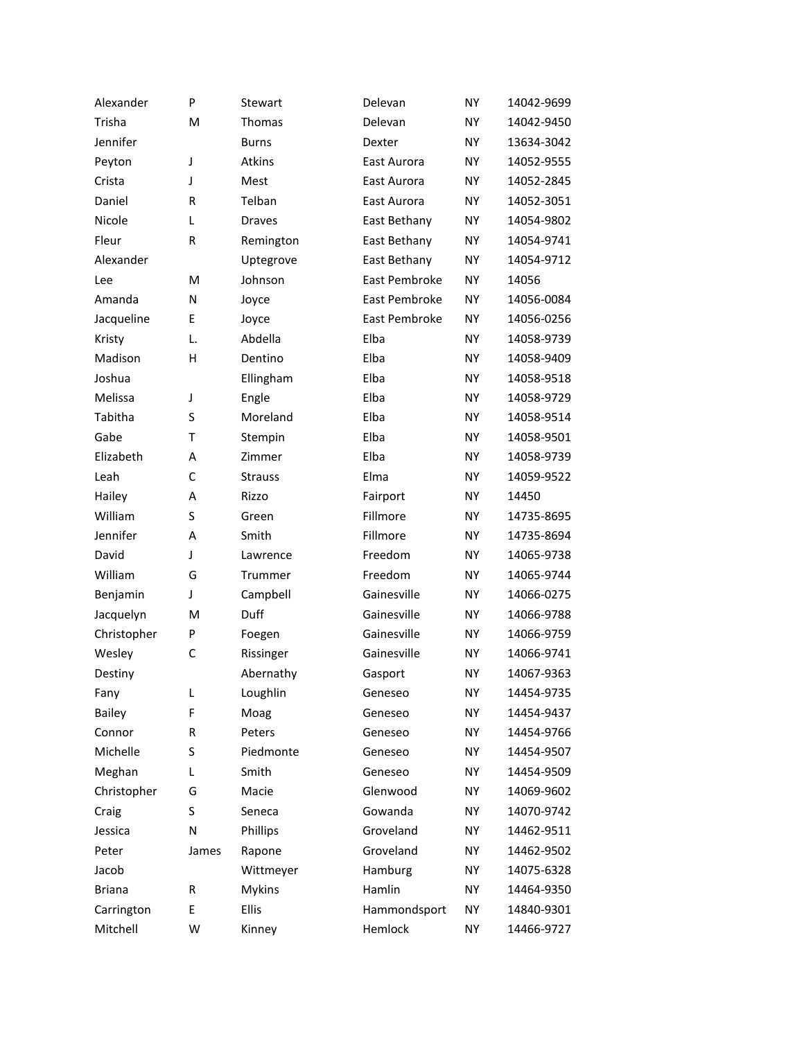| Alexander     | P     | Stewart        | Delevan       | <b>NY</b> | 14042-9699 |
|---------------|-------|----------------|---------------|-----------|------------|
| Trisha        | M     | Thomas         | Delevan       | <b>NY</b> | 14042-9450 |
| Jennifer      |       | <b>Burns</b>   | Dexter        | NY        | 13634-3042 |
| Peyton        | J     | Atkins         | East Aurora   | <b>NY</b> | 14052-9555 |
| Crista        | J     | Mest           | East Aurora   | NY        | 14052-2845 |
| Daniel        | R     | Telban         | East Aurora   | <b>NY</b> | 14052-3051 |
| Nicole        | L     | <b>Draves</b>  | East Bethany  | NY        | 14054-9802 |
| Fleur         | R     | Remington      | East Bethany  | <b>NY</b> | 14054-9741 |
| Alexander     |       | Uptegrove      | East Bethany  | NY        | 14054-9712 |
| Lee           | M     | Johnson        | East Pembroke | <b>NY</b> | 14056      |
| Amanda        | N     | Joyce          | East Pembroke | <b>NY</b> | 14056-0084 |
| Jacqueline    | E     | Joyce          | East Pembroke | <b>NY</b> | 14056-0256 |
| Kristy        | L.    | Abdella        | Elba          | NY        | 14058-9739 |
| Madison       | H     | Dentino        | Elba          | <b>NY</b> | 14058-9409 |
| Joshua        |       | Ellingham      | Elba          | NY        | 14058-9518 |
| Melissa       | J     | Engle          | Elba          | <b>NY</b> | 14058-9729 |
| Tabitha       | S     | Moreland       | Elba          | NY        | 14058-9514 |
| Gabe          | T     | Stempin        | Elba          | <b>NY</b> | 14058-9501 |
| Elizabeth     | А     | Zimmer         | Elba          | NY        | 14058-9739 |
| Leah          | C     | <b>Strauss</b> | Elma          | <b>NY</b> | 14059-9522 |
| Hailey        | А     | Rizzo          | Fairport      | NY        | 14450      |
| William       | S     | Green          | Fillmore      | <b>NY</b> | 14735-8695 |
| Jennifer      | А     | Smith          | Fillmore      | NY        | 14735-8694 |
| David         | J     | Lawrence       | Freedom       | <b>NY</b> | 14065-9738 |
| William       | G     | Trummer        | Freedom       | NY        | 14065-9744 |
| Benjamin      | J     | Campbell       | Gainesville   | <b>NY</b> | 14066-0275 |
| Jacquelyn     | M     | Duff           | Gainesville   | NY        | 14066-9788 |
| Christopher   | P     | Foegen         | Gainesville   | <b>NY</b> | 14066-9759 |
| Wesley        | C     | Rissinger      | Gainesville   | NY        | 14066-9741 |
| Destiny       |       | Abernathy      | Gasport       | <b>NY</b> | 14067-9363 |
| Fany          | L     | Loughlin       | Geneseo       | NY        | 14454-9735 |
| <b>Bailey</b> | F     | Moag           | Geneseo       | NY        | 14454-9437 |
| Connor        | R     | Peters         | Geneseo       | NY        | 14454-9766 |
| Michelle      | S     | Piedmonte      | Geneseo       | NY        | 14454-9507 |
| Meghan        | L     | Smith          | Geneseo       | NY        | 14454-9509 |
| Christopher   | G     | Macie          | Glenwood      | NY        | 14069-9602 |
| Craig         | S     | Seneca         | Gowanda       | NY        | 14070-9742 |
| Jessica       | N     | Phillips       | Groveland     | NY        | 14462-9511 |
| Peter         | James | Rapone         | Groveland     | NY        | 14462-9502 |
| Jacob         |       | Wittmeyer      | Hamburg       | NY        | 14075-6328 |
| <b>Briana</b> | R     | <b>Mykins</b>  | Hamlin        | NY        | 14464-9350 |
| Carrington    | E     | Ellis          | Hammondsport  | NY        | 14840-9301 |
| Mitchell      | W     | Kinney         | Hemlock       | NY        | 14466-9727 |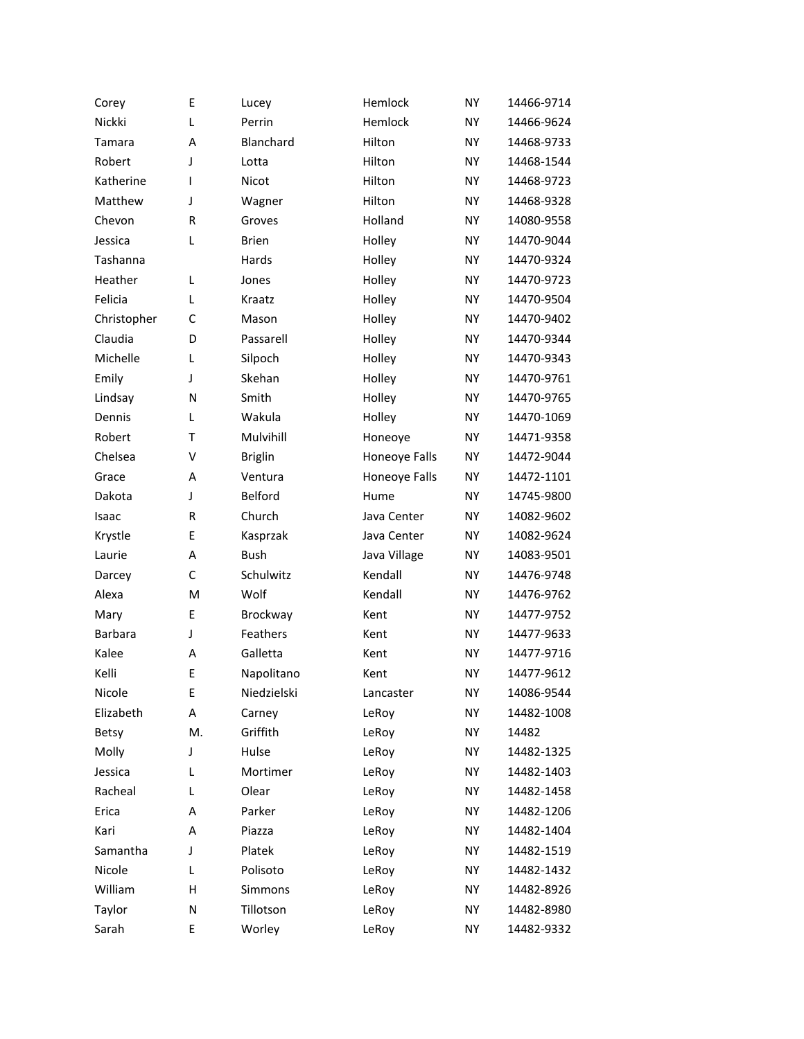| Corey          | E            | Lucey          | Hemlock       | <b>NY</b> | 14466-9714 |
|----------------|--------------|----------------|---------------|-----------|------------|
| Nickki         | L            | Perrin         | Hemlock       | <b>NY</b> | 14466-9624 |
| Tamara         | А            | Blanchard      | Hilton        | NΥ        | 14468-9733 |
| Robert         | J            | Lotta          | Hilton        | <b>NY</b> | 14468-1544 |
| Katherine      | T            | Nicot          | Hilton        | <b>NY</b> | 14468-9723 |
| Matthew        | J            | Wagner         | Hilton        | <b>NY</b> | 14468-9328 |
| Chevon         | $\mathsf{R}$ | Groves         | Holland       | NΥ        | 14080-9558 |
| Jessica        | L            | <b>Brien</b>   | Holley        | NY        | 14470-9044 |
| Tashanna       |              | Hards          | Holley        | NY        | 14470-9324 |
| Heather        | L            | Jones          | Holley        | <b>NY</b> | 14470-9723 |
| Felicia        | L            | Kraatz         | Holley        | NY.       | 14470-9504 |
| Christopher    | C            | Mason          | Holley        | <b>NY</b> | 14470-9402 |
| Claudia        | D            | Passarell      | Holley        | NY        | 14470-9344 |
| Michelle       | L            | Silpoch        | Holley        | <b>NY</b> | 14470-9343 |
| Emily          | J            | Skehan         | Holley        | NY.       | 14470-9761 |
| Lindsay        | N            | Smith          | Holley        | <b>NY</b> | 14470-9765 |
| Dennis         | L            | Wakula         | Holley        | NY        | 14470-1069 |
| Robert         | T            | Mulvihill      | Honeoye       | NY        | 14471-9358 |
| Chelsea        | V            | <b>Briglin</b> | Honeoye Falls | NY.       | 14472-9044 |
| Grace          | A            | Ventura        | Honeoye Falls | <b>NY</b> | 14472-1101 |
| Dakota         | J            | <b>Belford</b> | Hume          | <b>NY</b> | 14745-9800 |
| Isaac          | R            | Church         | Java Center   | NΥ        | 14082-9602 |
| Krystle        | Ε            | Kasprzak       | Java Center   | NY.       | 14082-9624 |
| Laurie         | A            | <b>Bush</b>    | Java Village  | NY        | 14083-9501 |
| Darcey         | C            | Schulwitz      | Kendall       | <b>NY</b> | 14476-9748 |
| Alexa          | M            | Wolf           | Kendall       | NY.       | 14476-9762 |
| Mary           | E            | Brockway       | Kent          | NY.       | 14477-9752 |
| <b>Barbara</b> | J            | Feathers       | Kent          | NY        | 14477-9633 |
| Kalee          | А            | Galletta       | Kent          | NY.       | 14477-9716 |
| Kelli          | E            | Napolitano     | Kent          | <b>NY</b> | 14477-9612 |
| Nicole         | E            | Niedzielski    | Lancaster     | NY.       | 14086-9544 |
| Elizabeth      | А            | Carney         | LeRoy         | NY        | 14482-1008 |
| Betsy          | M.           | Griffith       | LeRoy         | ΝY        | 14482      |
| Molly          | J            | Hulse          | LeRoy         | NY.       | 14482-1325 |
| Jessica        | L            | Mortimer       | LeRoy         | NY.       | 14482-1403 |
| Racheal        | L            | Olear          | LeRoy         | NY.       | 14482-1458 |
| Erica          | А            | Parker         | LeRoy         | ΝY        | 14482-1206 |
| Kari           | A            | Piazza         | LeRoy         | NY.       | 14482-1404 |
| Samantha       | J            | Platek         | LeRoy         | ΝY        | 14482-1519 |
| Nicole         | L            | Polisoto       | LeRoy         | NY.       | 14482-1432 |
| William        | н            | Simmons        | LeRoy         | ΝY        | 14482-8926 |
| Taylor         | N            | Tillotson      | LeRoy         | ΝY        | 14482-8980 |
| Sarah          | E            | Worley         | LeRoy         | ΝY        | 14482-9332 |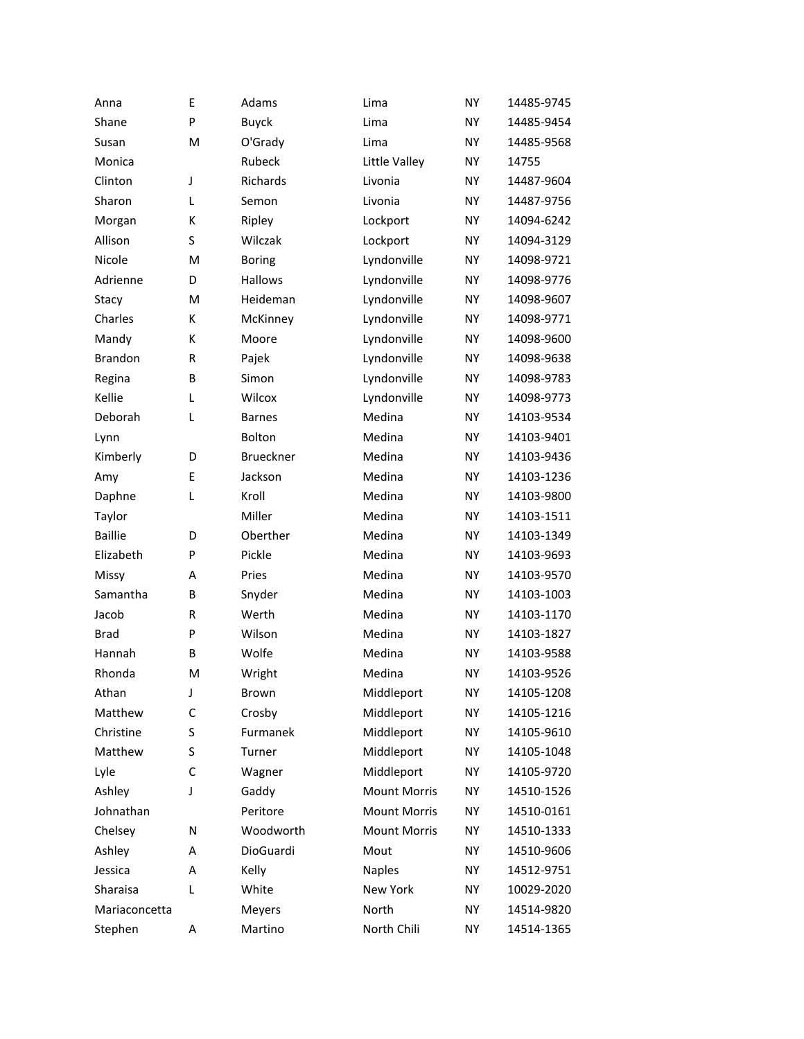| Anna           | E | Adams           | Lima                | <b>NY</b> | 14485-9745 |
|----------------|---|-----------------|---------------------|-----------|------------|
| Shane          | P | <b>Buyck</b>    | Lima                | <b>NY</b> | 14485-9454 |
| Susan          | M | O'Grady         | Lima                | <b>NY</b> | 14485-9568 |
| Monica         |   | Rubeck          | Little Valley       | <b>NY</b> | 14755      |
| Clinton        | J | <b>Richards</b> | Livonia             | <b>NY</b> | 14487-9604 |
| Sharon         | L | Semon           | Livonia             | <b>NY</b> | 14487-9756 |
| Morgan         | к | Ripley          | Lockport            | <b>NY</b> | 14094-6242 |
| Allison        | S | Wilczak         | Lockport            | <b>NY</b> | 14094-3129 |
| Nicole         | M | <b>Boring</b>   | Lyndonville         | <b>NY</b> | 14098-9721 |
| Adrienne       | D | Hallows         | Lyndonville         | <b>NY</b> | 14098-9776 |
| Stacy          | M | Heideman        | Lyndonville         | <b>NY</b> | 14098-9607 |
| Charles        | K | McKinney        | Lyndonville         | <b>NY</b> | 14098-9771 |
| Mandy          | к | Moore           | Lyndonville         | <b>NY</b> | 14098-9600 |
| <b>Brandon</b> | R | Pajek           | Lyndonville         | <b>NY</b> | 14098-9638 |
| Regina         | B | Simon           | Lyndonville         | <b>NY</b> | 14098-9783 |
| Kellie         | L | Wilcox          | Lyndonville         | <b>NY</b> | 14098-9773 |
| Deborah        | L | <b>Barnes</b>   | Medina              | <b>NY</b> | 14103-9534 |
| Lynn           |   | <b>Bolton</b>   | Medina              | <b>NY</b> | 14103-9401 |
| Kimberly       | D | Brueckner       | Medina              | <b>NY</b> | 14103-9436 |
| Amy            | E | Jackson         | Medina              | <b>NY</b> | 14103-1236 |
| Daphne         | L | Kroll           | Medina              | <b>NY</b> | 14103-9800 |
| Taylor         |   | Miller          | Medina              | <b>NY</b> | 14103-1511 |
| <b>Baillie</b> | D | Oberther        | Medina              | <b>NY</b> | 14103-1349 |
| Elizabeth      | P | Pickle          | Medina              | <b>NY</b> | 14103-9693 |
| <b>Missy</b>   | Α | Pries           | Medina              | <b>NY</b> | 14103-9570 |
| Samantha       | B | Snyder          | Medina              | <b>NY</b> | 14103-1003 |
| Jacob          | R | Werth           | Medina              | <b>NY</b> | 14103-1170 |
| <b>Brad</b>    | P | Wilson          | Medina              | <b>NY</b> | 14103-1827 |
| Hannah         | B | Wolfe           | Medina              | ΝY        | 14103-9588 |
| Rhonda         | M | Wright          | Medina              | <b>NY</b> | 14103-9526 |
| Athan          | J | Brown           | Middleport          | <b>NY</b> | 14105-1208 |
| Matthew        | C | Crosby          | Middleport          | <b>NY</b> | 14105-1216 |
| Christine      | S | Furmanek        | Middleport          | ΝY        | 14105-9610 |
| Matthew        | S | Turner          | Middleport          | NY        | 14105-1048 |
| Lyle           | С | Wagner          | Middleport          | NY        | 14105-9720 |
| Ashley         | J | Gaddy           | <b>Mount Morris</b> | NY        | 14510-1526 |
| Johnathan      |   | Peritore        | <b>Mount Morris</b> | ΝY        | 14510-0161 |
| Chelsey        | N | Woodworth       | <b>Mount Morris</b> | NY        | 14510-1333 |
| Ashley         | A | DioGuardi       | Mout                | NY.       | 14510-9606 |
| Jessica        | A | Kelly           | <b>Naples</b>       | NY        | 14512-9751 |
| Sharaisa       | L | White           | New York            | ΝY        | 10029-2020 |
| Mariaconcetta  |   | Meyers          | North               | NY        | 14514-9820 |
| Stephen        | А | Martino         | North Chili         | ΝY        | 14514-1365 |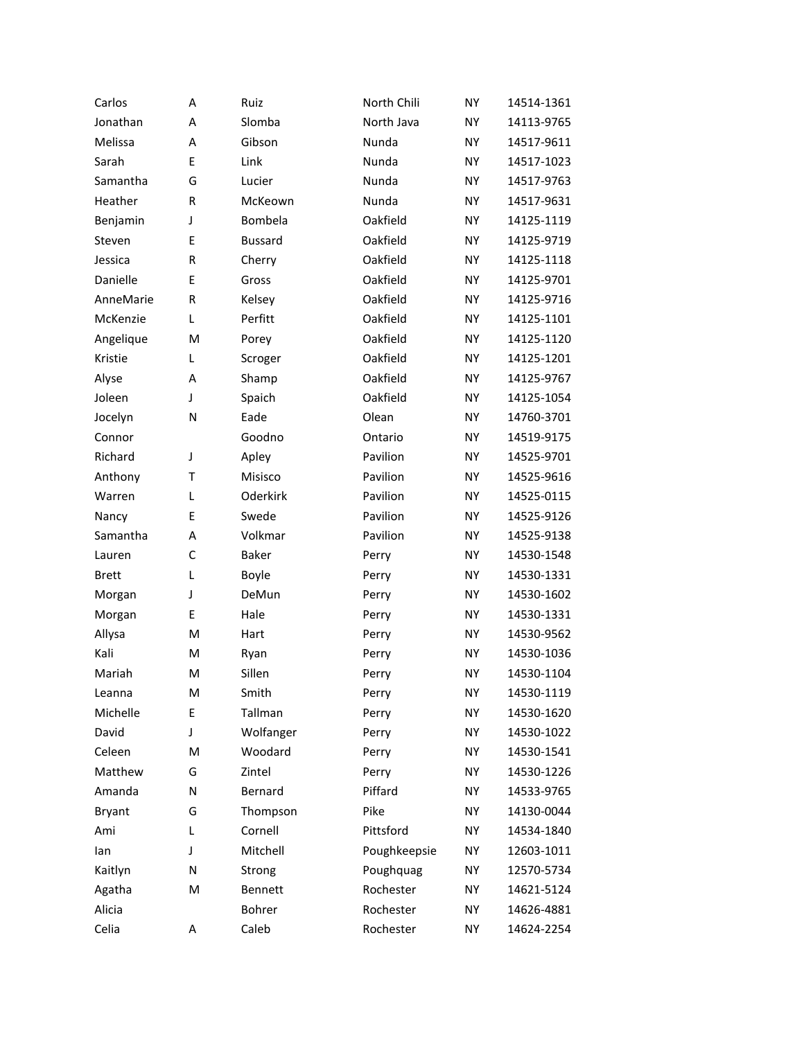| Carlos        | А | Ruiz           | North Chili  | <b>NY</b> | 14514-1361 |
|---------------|---|----------------|--------------|-----------|------------|
| Jonathan      | A | Slomba         | North Java   | <b>NY</b> | 14113-9765 |
| Melissa       | А | Gibson         | Nunda        | NY        | 14517-9611 |
| Sarah         | E | Link           | Nunda        | <b>NY</b> | 14517-1023 |
| Samantha      | G | Lucier         | Nunda        | NY        | 14517-9763 |
| Heather       | R | McKeown        | Nunda        | <b>NY</b> | 14517-9631 |
| Benjamin      | J | Bombela        | Oakfield     | NY        | 14125-1119 |
| Steven        | E | <b>Bussard</b> | Oakfield     | <b>NY</b> | 14125-9719 |
| Jessica       | R | Cherry         | Oakfield     | NY        | 14125-1118 |
| Danielle      | E | Gross          | Oakfield     | <b>NY</b> | 14125-9701 |
| AnneMarie     | R | Kelsey         | Oakfield     | NY        | 14125-9716 |
| McKenzie      | L | Perfitt        | Oakfield     | <b>NY</b> | 14125-1101 |
| Angelique     | M | Porey          | Oakfield     | NY        | 14125-1120 |
| Kristie       | L | Scroger        | Oakfield     | <b>NY</b> | 14125-1201 |
| Alyse         | A | Shamp          | Oakfield     | NY        | 14125-9767 |
| Joleen        | J | Spaich         | Oakfield     | <b>NY</b> | 14125-1054 |
| Jocelyn       | N | Eade           | Olean        | NY        | 14760-3701 |
| Connor        |   | Goodno         | Ontario      | <b>NY</b> | 14519-9175 |
| Richard       | J | Apley          | Pavilion     | NY        | 14525-9701 |
| Anthony       | T | Misisco        | Pavilion     | <b>NY</b> | 14525-9616 |
| Warren        | L | Oderkirk       | Pavilion     | NY        | 14525-0115 |
| Nancy         | E | Swede          | Pavilion     | <b>NY</b> | 14525-9126 |
| Samantha      | А | Volkmar        | Pavilion     | NY        | 14525-9138 |
| Lauren        | С | Baker          | Perry        | NY        | 14530-1548 |
| <b>Brett</b>  | L | Boyle          | Perry        | NY        | 14530-1331 |
| Morgan        | J | DeMun          | Perry        | NY        | 14530-1602 |
| Morgan        | E | Hale           | Perry        | NY        | 14530-1331 |
| Allysa        | M | Hart           | Perry        | NY        | 14530-9562 |
| Kali          | M | Ryan           | Perry        | NY        | 14530-1036 |
| Mariah        | M | Sillen         | Perry        | <b>NY</b> | 14530-1104 |
| Leanna        | M | Smith          | Perry        | NY        | 14530-1119 |
| Michelle      | E | Tallman        | Perry        | NY        | 14530-1620 |
| David         | J | Wolfanger      | Perry        | NΥ        | 14530-1022 |
| Celeen        | M | Woodard        | Perry        | NΥ        | 14530-1541 |
| Matthew       | G | Zintel         | Perry        | NY        | 14530-1226 |
| Amanda        | N | Bernard        | Piffard      | NΥ        | 14533-9765 |
| <b>Bryant</b> | G | Thompson       | Pike         | NY.       | 14130-0044 |
| Ami           | L | Cornell        | Pittsford    | NY        | 14534-1840 |
| lan           | J | Mitchell       | Poughkeepsie | ΝY        | 12603-1011 |
| Kaitlyn       | N | Strong         | Poughquag    | NΥ        | 12570-5734 |
| Agatha        | M | Bennett        | Rochester    | NY.       | 14621-5124 |
| Alicia        |   | Bohrer         | Rochester    | NY        | 14626-4881 |
| Celia         | Α | Caleb          | Rochester    | ΝY        | 14624-2254 |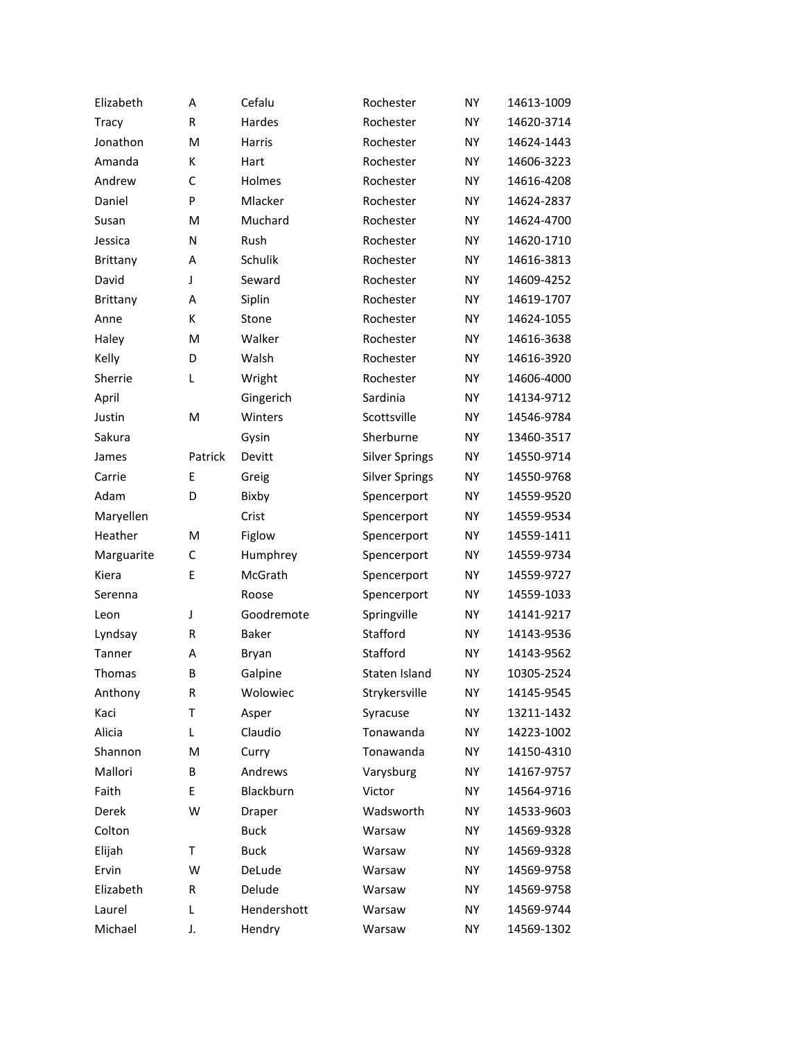| Elizabeth    | А       | Cefalu      | Rochester             | <b>NY</b> | 14613-1009 |
|--------------|---------|-------------|-----------------------|-----------|------------|
| <b>Tracy</b> | R       | Hardes      | Rochester             | <b>NY</b> | 14620-3714 |
| Jonathon     | M       | Harris      | Rochester             | <b>NY</b> | 14624-1443 |
| Amanda       | К       | Hart        | Rochester             | <b>NY</b> | 14606-3223 |
| Andrew       | C       | Holmes      | Rochester             | <b>NY</b> | 14616-4208 |
| Daniel       | P       | Mlacker     | Rochester             | <b>NY</b> | 14624-2837 |
| Susan        | M       | Muchard     | Rochester             | <b>NY</b> | 14624-4700 |
| Jessica      | N       | Rush        | Rochester             | <b>NY</b> | 14620-1710 |
| Brittany     | Α       | Schulik     | Rochester             | <b>NY</b> | 14616-3813 |
| David        | J       | Seward      | Rochester             | <b>NY</b> | 14609-4252 |
| Brittany     | A       | Siplin      | Rochester             | <b>NY</b> | 14619-1707 |
| Anne         | К       | Stone       | Rochester             | <b>NY</b> | 14624-1055 |
| Haley        | M       | Walker      | Rochester             | <b>NY</b> | 14616-3638 |
| Kelly        | D       | Walsh       | Rochester             | <b>NY</b> | 14616-3920 |
| Sherrie      | Г       | Wright      | Rochester             | <b>NY</b> | 14606-4000 |
| April        |         | Gingerich   | Sardinia              | <b>NY</b> | 14134-9712 |
| Justin       | M       | Winters     | Scottsville           | <b>NY</b> | 14546-9784 |
| Sakura       |         | Gysin       | Sherburne             | <b>NY</b> | 13460-3517 |
| James        | Patrick | Devitt      | <b>Silver Springs</b> | NY        | 14550-9714 |
| Carrie       | E       | Greig       | <b>Silver Springs</b> | <b>NY</b> | 14550-9768 |
| Adam         | D       | Bixby       | Spencerport           | NY        | 14559-9520 |
| Maryellen    |         | Crist       | Spencerport           | <b>NY</b> | 14559-9534 |
| Heather      | M       | Figlow      | Spencerport           | NY        | 14559-1411 |
| Marguarite   | C       | Humphrey    | Spencerport           | <b>NY</b> | 14559-9734 |
| Kiera        | E       | McGrath     | Spencerport           | NY        | 14559-9727 |
| Serenna      |         | Roose       | Spencerport           | <b>NY</b> | 14559-1033 |
| Leon         | J       | Goodremote  | Springville           | NY        | 14141-9217 |
| Lyndsay      | R       | Baker       | Stafford              | <b>NY</b> | 14143-9536 |
| Tanner       | А       | Bryan       | Stafford              | <b>NY</b> | 14143-9562 |
| Thomas       | B       | Galpine     | Staten Island         | <b>NY</b> | 10305-2524 |
| Anthony      | R       | Wolowiec    | Strykersville         | NY        | 14145-9545 |
| Kaci         | T       | Asper       | Syracuse              | NY        | 13211-1432 |
| Alicia       | Г       | Claudio     | Tonawanda             | NY.       | 14223-1002 |
| Shannon      | M       | Curry       | Tonawanda             | NY        | 14150-4310 |
| Mallori      | В       | Andrews     | Varysburg             | NY        | 14167-9757 |
| Faith        | E       | Blackburn   | Victor                | NΥ        | 14564-9716 |
| Derek        | W       | Draper      | Wadsworth             | NY        | 14533-9603 |
| Colton       |         | <b>Buck</b> | Warsaw                | NY        | 14569-9328 |
| Elijah       | т       | <b>Buck</b> | Warsaw                | NY        | 14569-9328 |
| Ervin        | W       | DeLude      | Warsaw                | NY        | 14569-9758 |
| Elizabeth    | R       | Delude      | Warsaw                | ΝY        | 14569-9758 |
| Laurel       | L       | Hendershott | Warsaw                | NY        | 14569-9744 |
| Michael      | J.      | Hendry      | Warsaw                | NY        | 14569-1302 |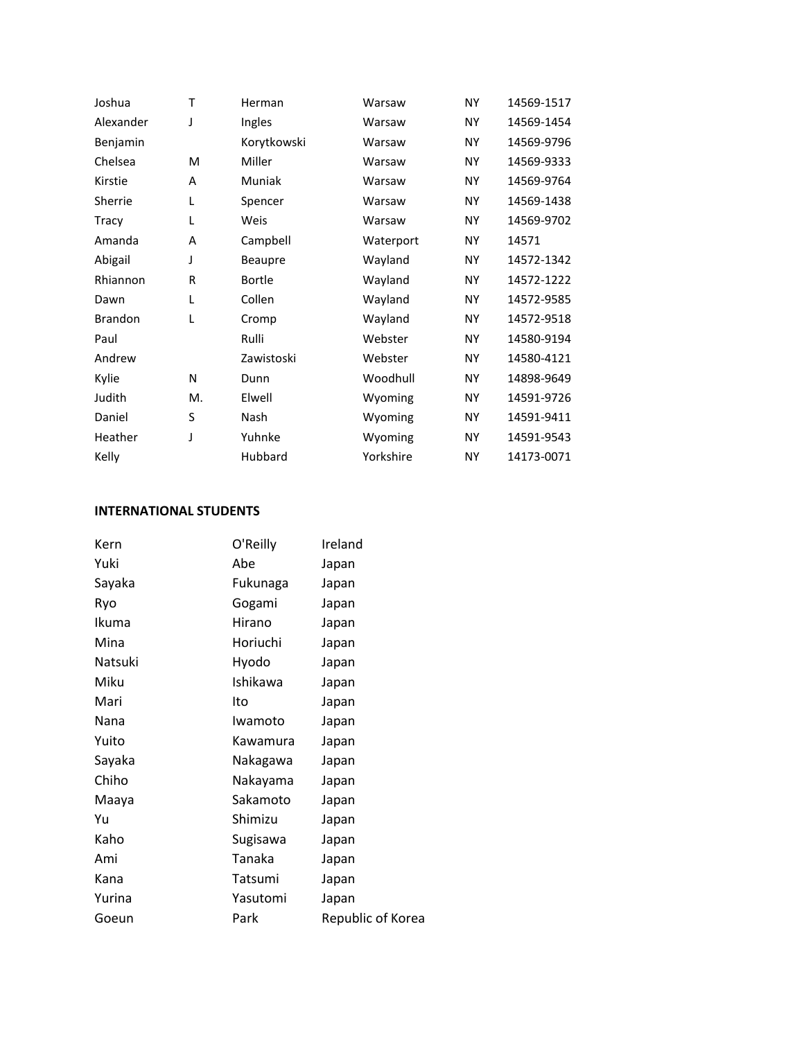| Joshua         | т  | Herman         | Warsaw    | <b>NY</b> | 14569-1517 |
|----------------|----|----------------|-----------|-----------|------------|
| Alexander      | J  | Ingles         | Warsaw    | NY.       | 14569-1454 |
| Benjamin       |    | Korytkowski    | Warsaw    | NY.       | 14569-9796 |
| Chelsea        | M  | Miller         | Warsaw    | NY.       | 14569-9333 |
| Kirstie        | A  | <b>Muniak</b>  | Warsaw    | <b>NY</b> | 14569-9764 |
| Sherrie        | L  | Spencer        | Warsaw    | NY.       | 14569-1438 |
| Tracy          | L  | Weis           | Warsaw    | NY.       | 14569-9702 |
| Amanda         | A  | Campbell       | Waterport | NY.       | 14571      |
| Abigail        | J  | <b>Beaupre</b> | Wayland   | NY.       | 14572-1342 |
| Rhiannon       | R  | <b>Bortle</b>  | Wayland   | NY.       | 14572-1222 |
| Dawn           | L  | Collen         | Wayland   | NY.       | 14572-9585 |
| <b>Brandon</b> | L  | Cromp          | Wayland   | NY.       | 14572-9518 |
| Paul           |    | Rulli          | Webster   | NY.       | 14580-9194 |
| Andrew         |    | Zawistoski     | Webster   | NY.       | 14580-4121 |
| Kylie          | N  | Dunn           | Woodhull  | NY.       | 14898-9649 |
| Judith         | М. | Elwell         | Wyoming   | NY.       | 14591-9726 |
| Daniel         | S  | Nash           | Wyoming   | NY.       | 14591-9411 |
| Heather        | J  | Yuhnke         | Wyoming   | NY.       | 14591-9543 |
| Kelly          |    | Hubbard        | Yorkshire | NY.       | 14173-0071 |

## **INTERNATIONAL STUDENTS**

| Kern    | O'Reilly | Ireland           |
|---------|----------|-------------------|
| Yuki    | Abe      | Japan             |
| Sayaka  | Fukunaga | Japan             |
| Ryo     | Gogami   | Japan             |
| Ikuma   | Hirano   | Japan             |
| Mina    | Horiuchi | Japan             |
| Natsuki | Hyodo    | Japan             |
| Miku    | Ishikawa | Japan             |
| Mari    | Ito      | Japan             |
| Nana    | Iwamoto  | Japan             |
| Yuito   | Kawamura | Japan             |
| Sayaka  | Nakagawa | Japan             |
| Chiho   | Nakayama | Japan             |
| Maaya   | Sakamoto | Japan             |
| Yu      | Shimizu  | Japan             |
| Kaho    | Sugisawa | Japan             |
| Ami     | Tanaka   | Japan             |
| Kana    | Tatsumi  | Japan             |
| Yurina  | Yasutomi | Japan             |
| Goeun   | Park     | Republic of Korea |